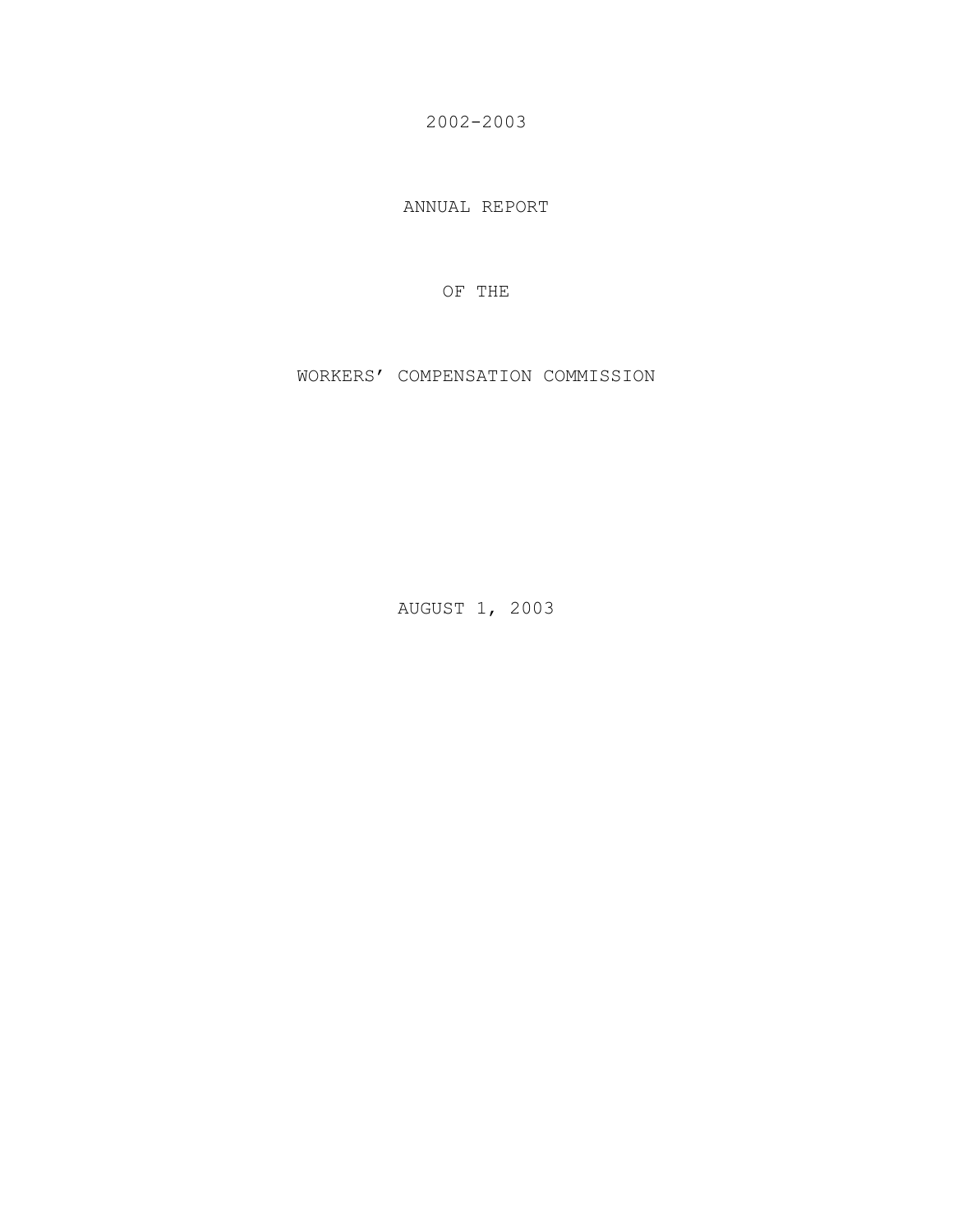2002-2003

ANNUAL REPORT

OF THE

WORKERS' COMPENSATION COMMISSION

AUGUST 1, 2003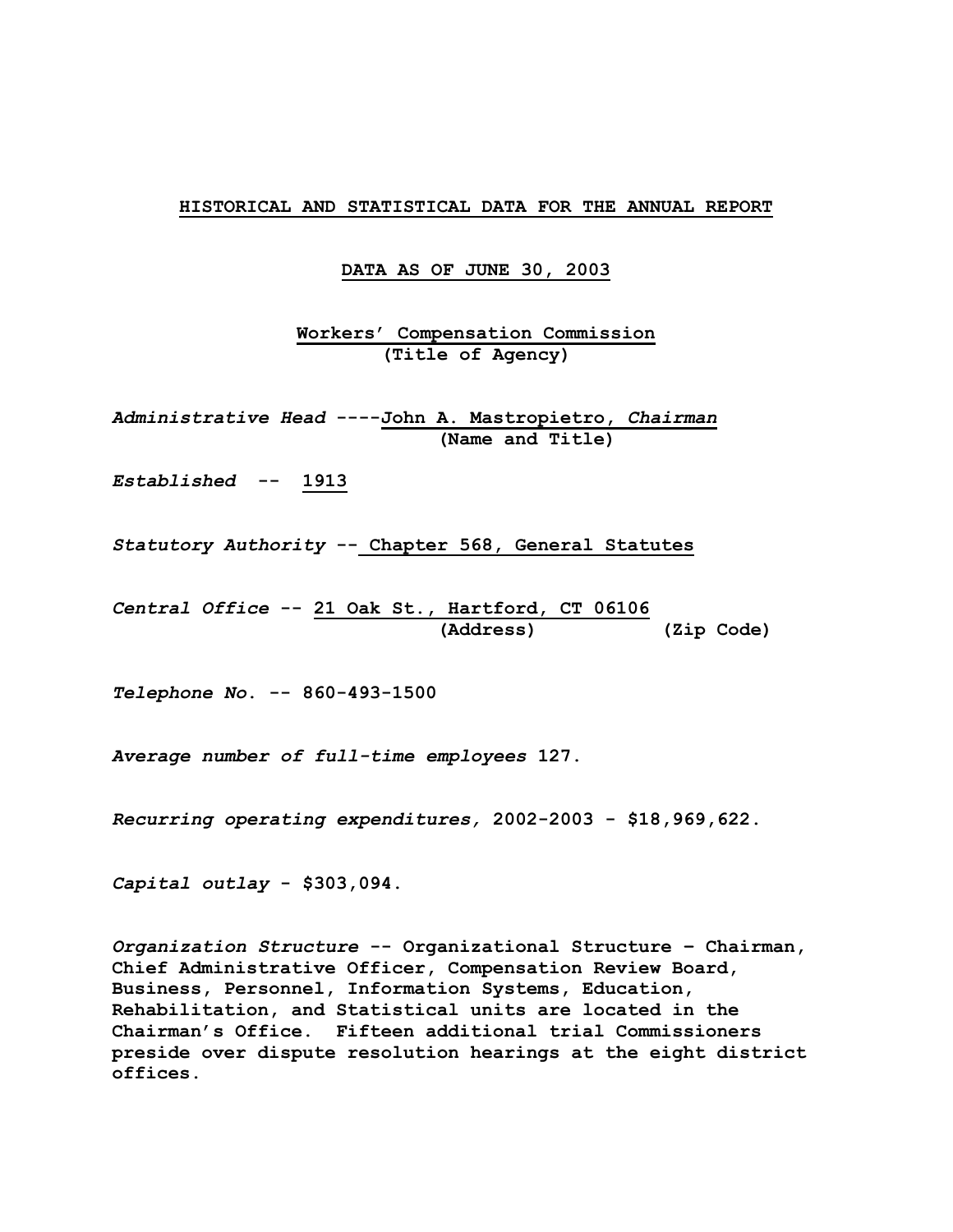#### **HISTORICAL AND STATISTICAL DATA FOR THE ANNUAL REPORT**

**DATA AS OF JUNE 30, 2003**

**Workers' Compensation Commission (Title of Agency)** 

*Administrative Head* **----John A. Mastropietro,** *Chairman*  **(Name and Title)** 

*Established* **-- 1913** 

*Statutory Authority* **-- Chapter 568, General Statutes** 

*Central Office* **-- 21 Oak St., Hartford, CT 06106 (Address) (Zip Code)** 

*Telephone No***. -- 860-493-1500** 

*Average number of full-time employees* **127.** 

*Recurring operating expenditures,* **2002-2003 - \$18,969,622.** 

*Capital outlay* **- \$303,094.** 

*Organization Structure* **-- Organizational Structure – Chairman, Chief Administrative Officer, Compensation Review Board, Business, Personnel, Information Systems, Education, Rehabilitation, and Statistical units are located in the Chairman's Office. Fifteen additional trial Commissioners preside over dispute resolution hearings at the eight district offices.**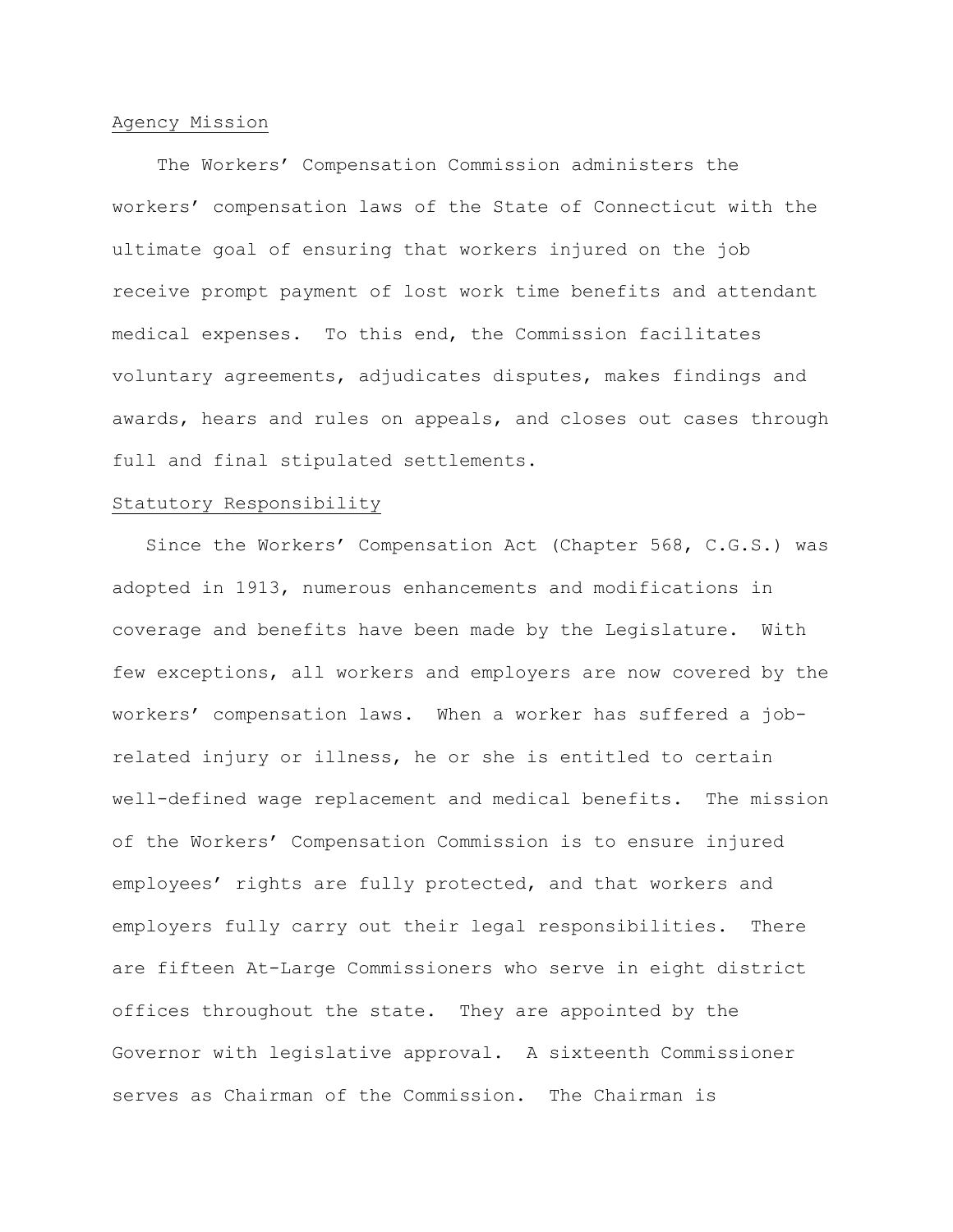## Agency Mission

 The Workers' Compensation Commission administers the workers' compensation laws of the State of Connecticut with the ultimate goal of ensuring that workers injured on the job receive prompt payment of lost work time benefits and attendant medical expenses. To this end, the Commission facilitates voluntary agreements, adjudicates disputes, makes findings and awards, hears and rules on appeals, and closes out cases through full and final stipulated settlements.

## Statutory Responsibility

 Since the Workers' Compensation Act (Chapter 568, C.G.S.) was adopted in 1913, numerous enhancements and modifications in coverage and benefits have been made by the Legislature. With few exceptions, all workers and employers are now covered by the workers' compensation laws. When a worker has suffered a jobrelated injury or illness, he or she is entitled to certain well-defined wage replacement and medical benefits. The mission of the Workers' Compensation Commission is to ensure injured employees' rights are fully protected, and that workers and employers fully carry out their legal responsibilities. There are fifteen At-Large Commissioners who serve in eight district offices throughout the state. They are appointed by the Governor with legislative approval. A sixteenth Commissioner serves as Chairman of the Commission. The Chairman is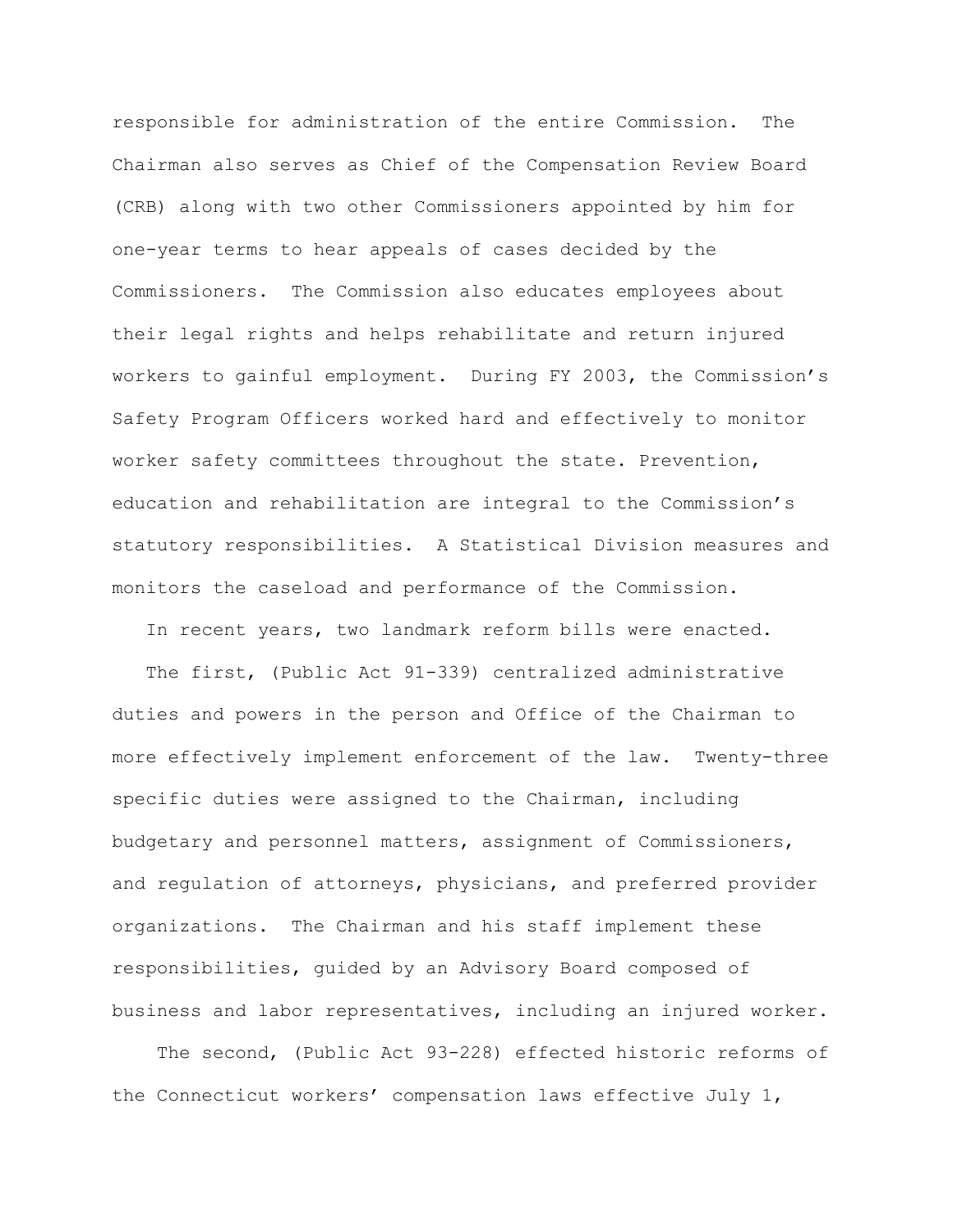responsible for administration of the entire Commission. The Chairman also serves as Chief of the Compensation Review Board (CRB) along with two other Commissioners appointed by him for one-year terms to hear appeals of cases decided by the Commissioners. The Commission also educates employees about their legal rights and helps rehabilitate and return injured workers to gainful employment. During FY 2003, the Commission's Safety Program Officers worked hard and effectively to monitor worker safety committees throughout the state. Prevention, education and rehabilitation are integral to the Commission's statutory responsibilities. A Statistical Division measures and monitors the caseload and performance of the Commission.

In recent years, two landmark reform bills were enacted.

 The first, (Public Act 91-339) centralized administrative duties and powers in the person and Office of the Chairman to more effectively implement enforcement of the law. Twenty-three specific duties were assigned to the Chairman, including budgetary and personnel matters, assignment of Commissioners, and regulation of attorneys, physicians, and preferred provider organizations. The Chairman and his staff implement these responsibilities, guided by an Advisory Board composed of business and labor representatives, including an injured worker.

 The second, (Public Act 93-228) effected historic reforms of the Connecticut workers' compensation laws effective July 1,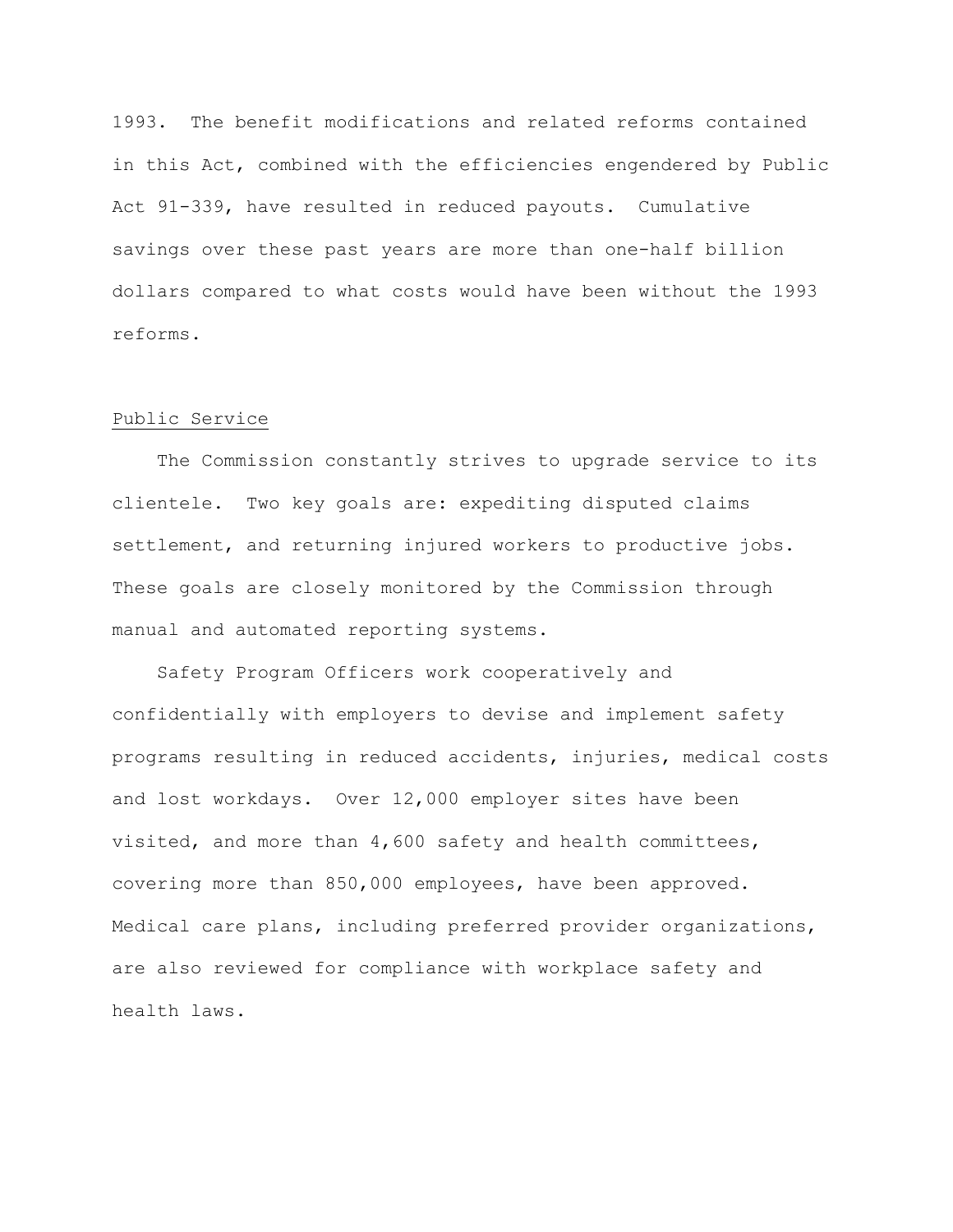1993. The benefit modifications and related reforms contained in this Act, combined with the efficiencies engendered by Public Act 91-339, have resulted in reduced payouts. Cumulative savings over these past years are more than one-half billion dollars compared to what costs would have been without the 1993 reforms.

## Public Service

 The Commission constantly strives to upgrade service to its clientele. Two key goals are: expediting disputed claims settlement, and returning injured workers to productive jobs. These goals are closely monitored by the Commission through manual and automated reporting systems.

 Safety Program Officers work cooperatively and confidentially with employers to devise and implement safety programs resulting in reduced accidents, injuries, medical costs and lost workdays. Over 12,000 employer sites have been visited, and more than 4,600 safety and health committees, covering more than 850,000 employees, have been approved. Medical care plans, including preferred provider organizations, are also reviewed for compliance with workplace safety and health laws.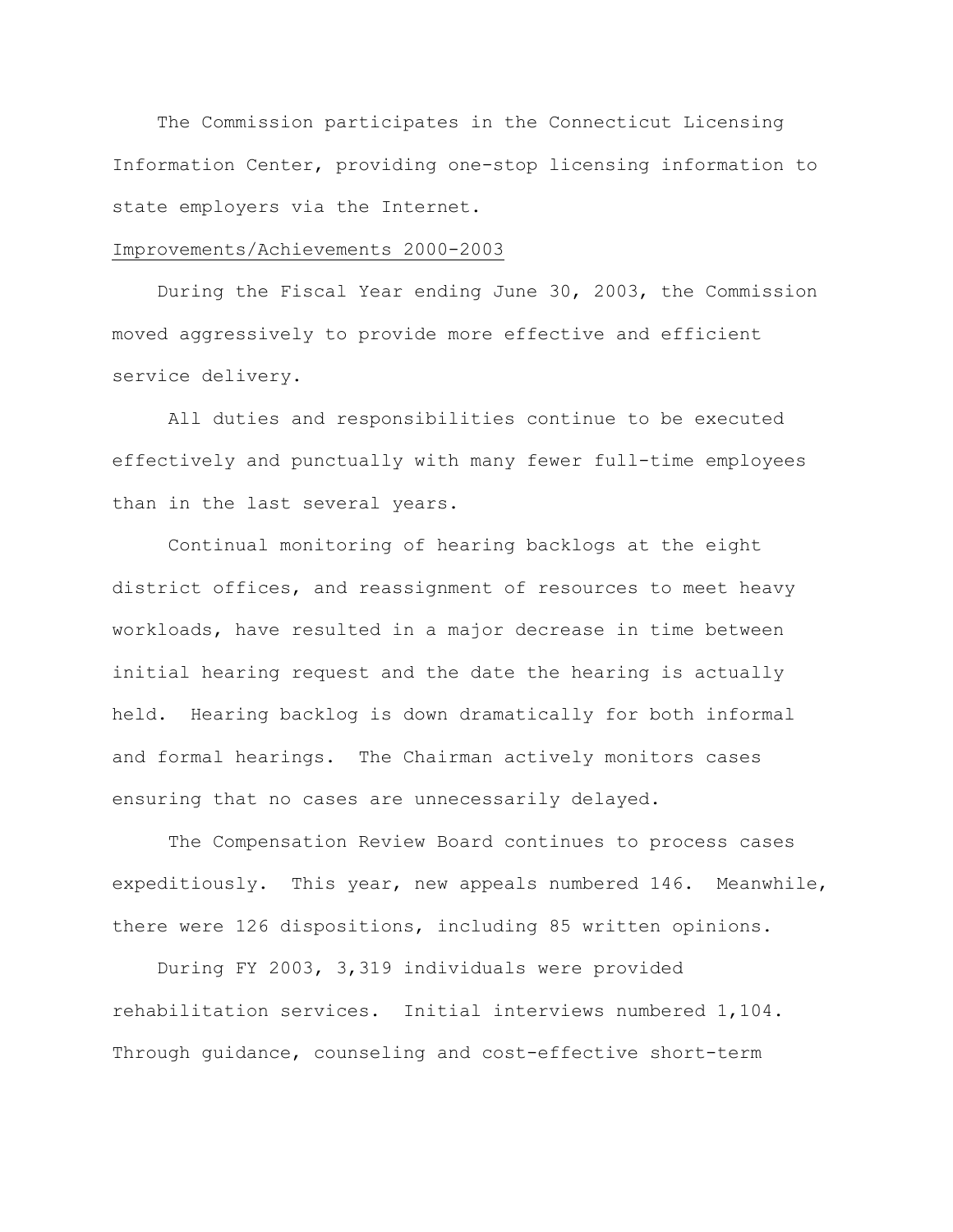The Commission participates in the Connecticut Licensing Information Center, providing one-stop licensing information to state employers via the Internet.

### Improvements/Achievements 2000-2003

 During the Fiscal Year ending June 30, 2003, the Commission moved aggressively to provide more effective and efficient service delivery.

 All duties and responsibilities continue to be executed effectively and punctually with many fewer full-time employees than in the last several years.

 Continual monitoring of hearing backlogs at the eight district offices, and reassignment of resources to meet heavy workloads, have resulted in a major decrease in time between initial hearing request and the date the hearing is actually held. Hearing backlog is down dramatically for both informal and formal hearings. The Chairman actively monitors cases ensuring that no cases are unnecessarily delayed.

The Compensation Review Board continues to process cases expeditiously. This year, new appeals numbered 146. Meanwhile, there were 126 dispositions, including 85 written opinions.

 During FY 2003, 3,319 individuals were provided rehabilitation services. Initial interviews numbered 1,104. Through guidance, counseling and cost-effective short-term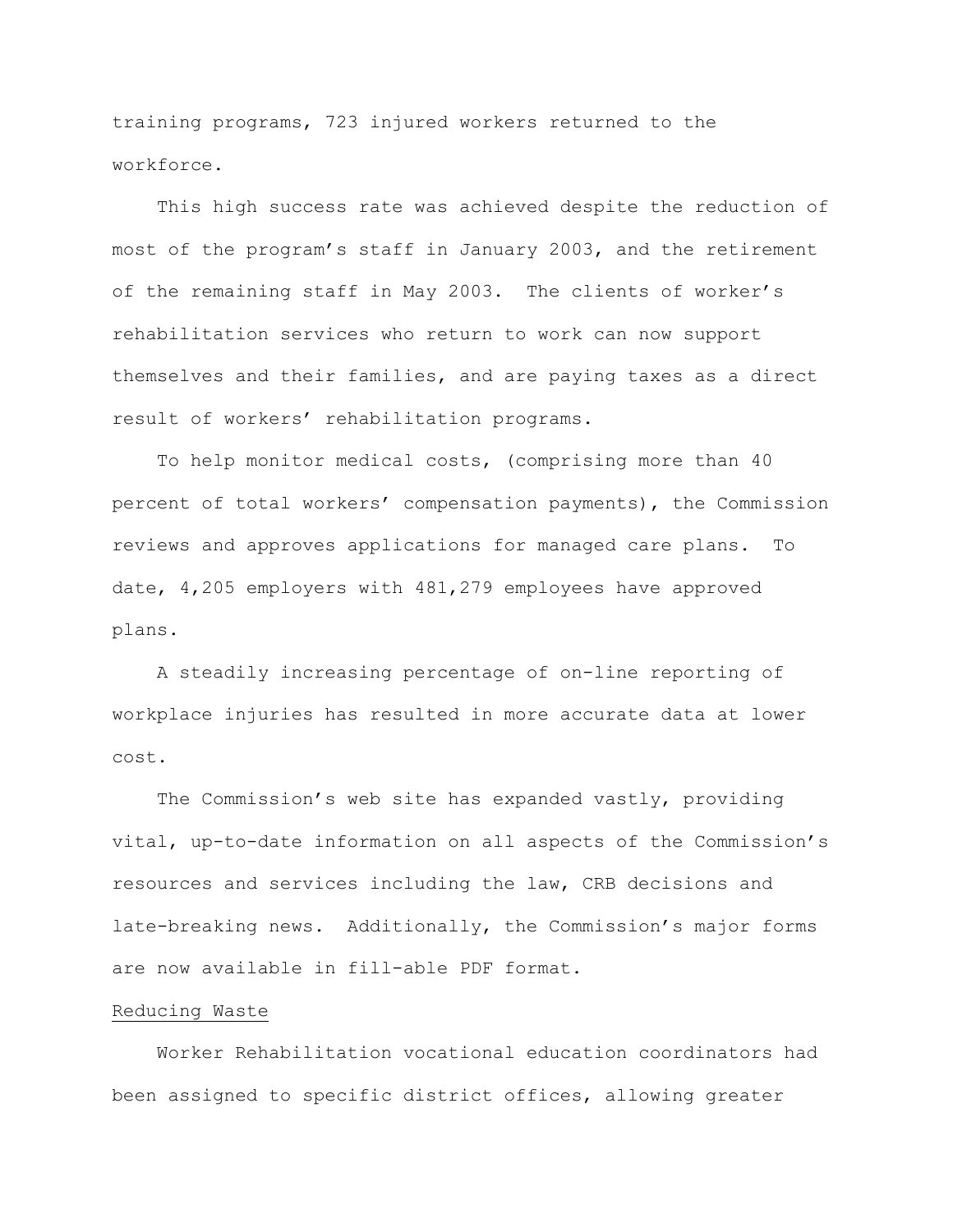training programs, 723 injured workers returned to the workforce.

 This high success rate was achieved despite the reduction of most of the program's staff in January 2003, and the retirement of the remaining staff in May 2003. The clients of worker's rehabilitation services who return to work can now support themselves and their families, and are paying taxes as a direct result of workers' rehabilitation programs.

 To help monitor medical costs, (comprising more than 40 percent of total workers' compensation payments), the Commission reviews and approves applications for managed care plans. To date, 4,205 employers with 481,279 employees have approved plans.

 A steadily increasing percentage of on-line reporting of workplace injuries has resulted in more accurate data at lower cost.

 The Commission's web site has expanded vastly, providing vital, up-to-date information on all aspects of the Commission's resources and services including the law, CRB decisions and late-breaking news. Additionally, the Commission's major forms are now available in fill-able PDF format.

## Reducing Waste

 Worker Rehabilitation vocational education coordinators had been assigned to specific district offices, allowing greater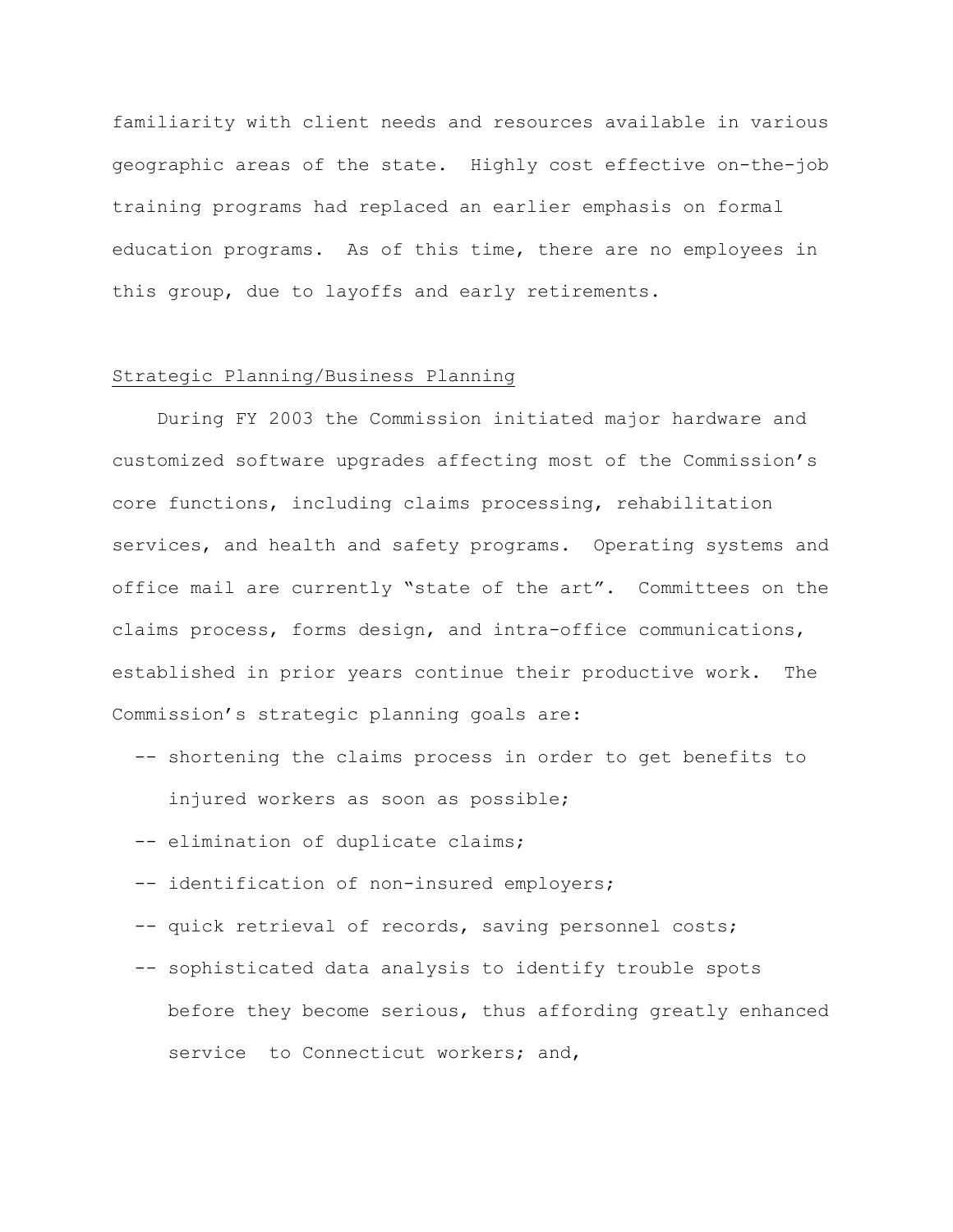familiarity with client needs and resources available in various geographic areas of the state. Highly cost effective on-the-job training programs had replaced an earlier emphasis on formal education programs. As of this time, there are no employees in this group, due to layoffs and early retirements.

# Strategic Planning/Business Planning

 During FY 2003 the Commission initiated major hardware and customized software upgrades affecting most of the Commission's core functions, including claims processing, rehabilitation services, and health and safety programs. Operating systems and office mail are currently "state of the art". Committees on the claims process, forms design, and intra-office communications, established in prior years continue their productive work. The Commission's strategic planning goals are:

- -- shortening the claims process in order to get benefits to injured workers as soon as possible;
- -- elimination of duplicate claims;
- -- identification of non-insured employers;
- -- quick retrieval of records, saving personnel costs;
- -- sophisticated data analysis to identify trouble spots before they become serious, thus affording greatly enhanced service to Connecticut workers; and,